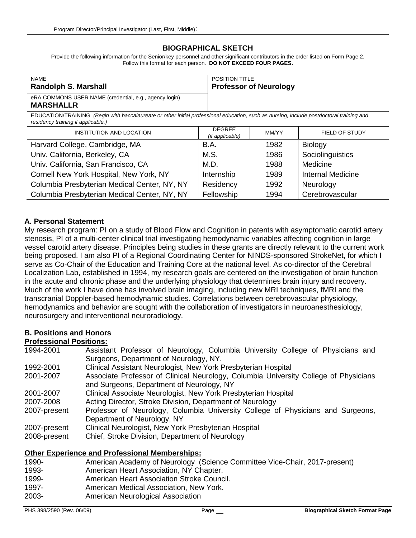#### **BIOGRAPHICAL SKETCH**

Provide the following information for the Senior/key personnel and other significant contributors in the order listed on Form Page 2. Follow this format for each person. **DO NOT EXCEED FOUR PAGES.**

| <b>NAME</b>                                                                | <b>POSITION TITLE</b>         |
|----------------------------------------------------------------------------|-------------------------------|
| <b>Randolph S. Marshall</b>                                                | <b>Professor of Neurology</b> |
| eRA COMMONS USER NAME (credential, e.g., agency login)<br><b>MARSHALLR</b> |                               |

EDUCATION/TRAINING *(Begin with baccalaureate or other initial professional education, such as nursing, include postdoctoral training and residency training if applicable.)*

| <b>INSTITUTION AND LOCATION</b>              | <b>DEGREE</b><br>(if applicable) | MM/YY | FIELD OF STUDY           |
|----------------------------------------------|----------------------------------|-------|--------------------------|
| Harvard College, Cambridge, MA               | <b>B.A.</b>                      | 1982  | Biology                  |
| Univ. California, Berkeley, CA               | M.S.                             | 1986  | Sociolinguistics         |
| Univ. California, San Francisco, CA          | M.D.                             | 1988  | Medicine                 |
| Cornell New York Hospital, New York, NY      | Internship                       | 1989  | <b>Internal Medicine</b> |
| Columbia Presbyterian Medical Center, NY, NY | Residency                        | 1992  | Neurology                |
| Columbia Presbyterian Medical Center, NY, NY | Fellowship                       | 1994  | Cerebrovascular          |

#### **A. Personal Statement**

My research program: PI on a study of Blood Flow and Cognition in patents with asymptomatic carotid artery stenosis, PI of a multi-center clinical trial investigating hemodynamic variables affecting cognition in large vessel carotid artery disease. Principles being studies in these grants are directly relevant to the current work being proposed. I am also PI of a Regional Coordinating Center for NINDS-sponsored StrokeNet, for which I serve as Co-Chair of the Education and Training Core at the national level. As co-director of the Cerebral Localization Lab, established in 1994, my research goals are centered on the investigation of brain function in the acute and chronic phase and the underlying physiology that determines brain injury and recovery. Much of the work I have done has involved brain imaging, including new MRI techniques, fMRI and the transcranial Doppler-based hemodynamic studies. Correlations between cerebrovascular physiology, hemodynamics and behavior are sought with the collaboration of investigators in neuroanesthesiology, neurosurgery and interventional neuroradiology.

#### **B. Positions and Honors**

#### **Professional Positions:**

| 1994-2001    | Assistant Professor of Neurology, Columbia University College of Physicians and      |  |  |
|--------------|--------------------------------------------------------------------------------------|--|--|
|              | Surgeons, Department of Neurology, NY.                                               |  |  |
| 1992-2001    | Clinical Assistant Neurologist, New York Presbyterian Hospital                       |  |  |
| 2001-2007    | Associate Professor of Clinical Neurology, Columbia University College of Physicians |  |  |
|              | and Surgeons, Department of Neurology, NY                                            |  |  |
| 2001-2007    | Clinical Associate Neurologist, New York Presbyterian Hospital                       |  |  |
| 2007-2008    | Acting Director, Stroke Division, Department of Neurology                            |  |  |
| 2007-present | Professor of Neurology, Columbia University College of Physicians and Surgeons,      |  |  |
|              | Department of Neurology, NY                                                          |  |  |
| 2007-present | Clinical Neurologist, New York Presbyterian Hospital                                 |  |  |
| 2008-present | Chief, Stroke Division, Department of Neurology                                      |  |  |

#### **Other Experience and Professional Memberships:**

| $1990-$ | American Academy of Neurology (Science Committee Vice-Chair, 2017-present) |
|---------|----------------------------------------------------------------------------|
| 1993-   | American Heart Association, NY Chapter.                                    |
| 1999-   | American Heart Association Stroke Council.                                 |
| 1997-   | American Medical Association, New York.                                    |
| 2003-   | American Neurological Association                                          |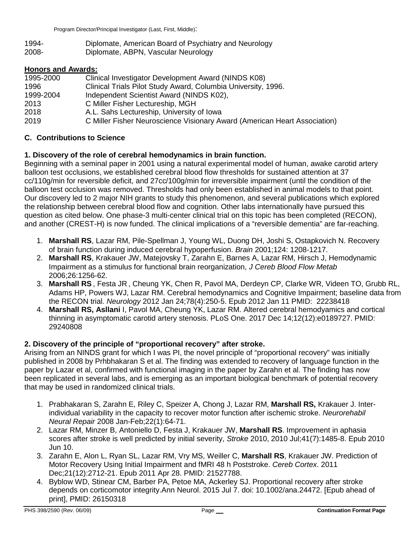1994- Diplomate, American Board of Psychiatry and Neurology 2008- Diplomate, ABPN, Vascular Neurology

### **Honors and Awards:**

| 1995-2000 | Clinical Investigator Development Award (NINDS K08)                       |
|-----------|---------------------------------------------------------------------------|
| 1996      | Clinical Trials Pilot Study Award, Columbia University, 1996.             |
| 1999-2004 | Independent Scientist Award (NINDS K02),                                  |
| 2013      | C Miller Fisher Lectureship, MGH                                          |
| 2018      | A.L. Sahs Lectureship, University of Iowa                                 |
| 2019      | C Miller Fisher Neuroscience Visionary Award (American Heart Association) |

### **C. Contributions to Science**

### **1. Discovery of the role of cerebral hemodynamics in brain function.**

Beginning with a seminal paper in 2001 using a natural experimental model of human, awake carotid artery balloon test occlusions, we established cerebral blood flow thresholds for sustained attention at 37 cc/110g/min for reversible deficit, and 27cc/100g/min for irreversible impairment (until the condition of the balloon test occlusion was removed. Thresholds had only been established in animal models to that point. Our discovery led to 2 major NIH grants to study this phenomenon, and several publications which explored the relationship between cerebral blood flow and cognition. Other labs internationally have pursued this question as cited below. One phase-3 multi-center clinical trial on this topic has been completed (RECON), and another (CREST-H) is now funded. The clinical implications of a "reversible dementia" are far-reaching.

- 1. **Marshall RS**, Lazar RM, Pile-Spellman J, Young WL, Duong DH, Joshi S, Ostapkovich N. Recovery of brain function during induced cerebral hypoperfusion. *Brain* 2001;124: 1208-1217.
- 2. **Marshall RS**, Krakauer JW, Matejovsky T, Zarahn E, Barnes A, Lazar RM, Hirsch J, Hemodynamic Impairment as a stimulus for functional brain reorganization, *J Cereb Blood Flow Metab* 2006;26:1256-62.
- 3. **Marshall RS** , Festa JR , Cheung YK, Chen R, Pavol MA, Derdeyn CP, Clarke WR, Videen TO, Grubb RL, Adams HP, Powers WJ, Lazar RM. Cerebral hemodynamics and Cognitive Impairment; baseline data from the RECON trial. *Neurology* 2012 Jan 24;78(4):250-5. Epub 2012 Jan 11 PMID: 22238418
- 4. **Marshall RS, Asllani** I, Pavol MA, Cheung YK, Lazar RM. Altered cerebral hemodyamics and cortical thinning in asymptomatic carotid artery stenosis. PLoS One. 2017 Dec 14;12(12):e0189727. PMID: 29240808

## **2. Discovery of the principle of "proportional recovery" after stroke.**

Arising from an NINDS grant for which I was PI, the novel principle of "proportional recovery" was initially published in 2008 by Prhbhakaran S et al. The finding was extended to recovery of language function in the paper by Lazar et al, confirmed with functional imaging in the paper by Zarahn et al. The finding has now been replicated in several labs, and is emerging as an important biological benchmark of potential recovery that may be used in randomized clinical trials.

- 1. Prabhakaran S, Zarahn E, Riley C, Speizer A, Chong J, Lazar RM, **Marshall RS,** Krakauer J. Interindividual variability in the capacity to recover motor function after ischemic stroke. *Neurorehabil Neural Repair* 2008 Jan-Feb;22(1):64-71.
- 2. Lazar RM, Minzer B, Antoniello D, Festa J, Krakauer JW, **Marshall RS**. Improvement in aphasia scores after stroke is well predicted by initial severity, *Stroke* 2010, 2010 Jul;41(7):1485-8. Epub 2010 Jun 10.
- 3. Zarahn E, Alon L, Ryan SL, Lazar RM, Vry MS, Weiller C, **Marshall RS**, Krakauer JW. Prediction of Motor Recovery Using Initial Impairment and fMRI 48 h Poststroke. *Cereb Cortex*. 2011 Dec;21(12):2712-21. Epub 2011 Apr 28. PMID: 21527788.
- 4. Byblow WD, Stinear CM, Barber PA, Petoe MA, Ackerley SJ. Proportional recovery after stroke depends on corticomotor integrity.Ann Neurol. 2015 Jul 7. doi: 10.1002/ana.24472. [Epub ahead of print], PMID: 26150318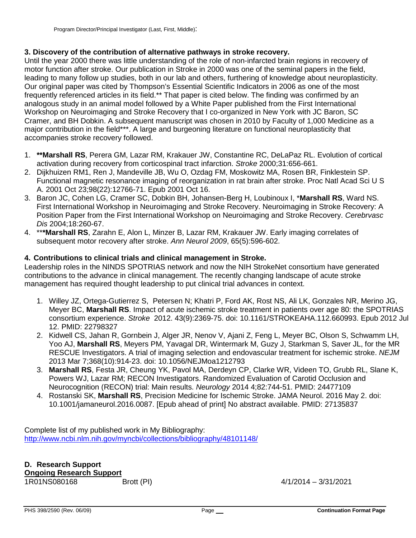### **3. Discovery of the contribution of alternative pathways in stroke recovery.**

Until the year 2000 there was little understanding of the role of non-infarcted brain regions in recovery of motor function after stroke. Our publication in Stroke in 2000 was one of the seminal papers in the field, leading to many follow up studies, both in our lab and others, furthering of knowledge about neuroplasticity. Our original paper was cited by Thompson's Essential Scientific Indicators in 2006 as one of the most frequently referenced articles in its field.\*\* That paper is cited below. The finding was confirmed by an analogous study in an animal model followed by a White Paper published from the First International Workshop on Neuroimaging and Stroke Recovery that I co-organized in New York with JC Baron, SC Cramer, and BH Dobkin. A subsequent manuscript was chosen in 2010 by Faculty of 1,000 Medicine as a major contribution in the field\*\*\*. A large and burgeoning literature on functional neuroplasticity that accompanies stroke recovery followed.

- 1. **\*\*Marshall RS**, Perera GM, Lazar RM, Krakauer JW, Constantine RC, DeLaPaz RL. Evolution of cortical activation during recovery from corticospinal tract infarction. *Stroke* 2000;31:656-661.
- 2. Dijkhuizen RM1, Ren J, Mandeville JB, Wu O, Ozdag FM, Moskowitz MA, Rosen BR, Finklestein SP. Functional magnetic resonance imaging of reorganization in rat brain after stroke. Proc Natl Acad Sci U S A. 2001 Oct 23;98(22):12766-71. Epub 2001 Oct 16.
- 3. Baron JC, Cohen LG, Cramer SC, Dobkin BH, Johansen-Berg H, Loubinoux I, \***Marshall RS**, Ward NS. First International Workshop in Neuroimaging and Stroke Recovery. Neuroimaging in Stroke Recovery: A Position Paper from the First International Workshop on Neuroimaging and Stroke Recovery. *Cerebrvasc Dis* 2004;18:260-67.
- 4. \*\***\*Marshall RS**, Zarahn E, Alon L, Minzer B, Lazar RM, Krakauer JW. Early imaging correlates of subsequent motor recovery after stroke. *Ann Neurol 2009*, 65(5):596-602.

### **4. Contributions to clinical trials and clinical management in Stroke.**

Leadership roles in the NINDS SPOTRIAS network and now the NIH StrokeNet consortium have generated contributions to the advance in clinical management. The recently changing landscape of acute stroke management has required thought leadership to put clinical trial advances in context.

- 1. Willey JZ, Ortega-Gutierrez S, Petersen N; Khatri P, Ford AK, Rost NS, Ali LK, Gonzales NR, Merino JG, Meyer BC, **Marshall RS**. Impact of acute ischemic stroke treatment in patients over age 80: the SPOTRIAS consortium experience. *Stroke* 2012. 43(9):2369-75. doi: 10.1161/STROKEAHA.112.660993. Epub 2012 Jul 12. PMID: 22798327
- 2. Kidwell CS, Jahan R, Gornbein J, Alger JR, Nenov V, Ajani Z, Feng L, Meyer BC, Olson S, Schwamm LH, Yoo AJ, **Marshall RS**, Meyers PM, Yavagal DR, Wintermark M, Guzy J, Starkman S, Saver JL, for the MR RESCUE Investigators. A trial of imaging selection and endovascular treatment for ischemic stroke. *NEJM* 2013 Mar 7;368(10):914-23. doi: 10.1056/NEJMoa1212793
- 3. **Marshall RS**, Festa JR, Cheung YK, Pavol MA, Derdeyn CP, Clarke WR, Videen TO, Grubb RL, Slane K, Powers WJ, Lazar RM; RECON Investigators. Randomized Evaluation of Carotid Occlusion and Neurocognition (RECON) trial: Main results. *Neurology* 2014 4;82:744-51. PMID: 24477109
- 4. Rostanski SK, **Marshall RS**, Precision Medicine for Ischemic Stroke. JAMA Neurol. 2016 May 2. doi: 10.1001/jamaneurol.2016.0087. [Epub ahead of print] No abstract available. PMID: 27135837

Complete list of my published work in My Bibliography: <http://www.ncbi.nlm.nih.gov/myncbi/collections/bibliography/48101148/>

# **D. Research Support Ongoing Research Support**

Brott (PI) 4/1/2014 – 3/31/2021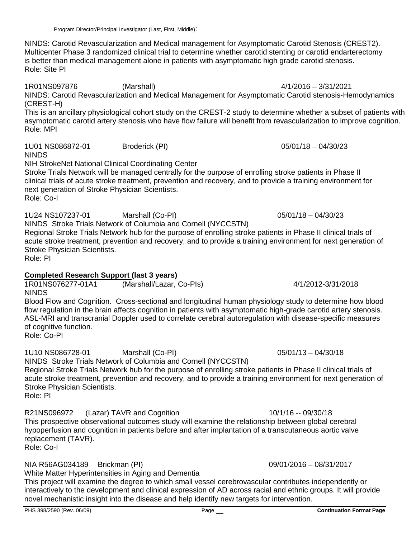NINDS: Carotid Revascularization and Medical management for Asymptomatic Carotid Stenosis (CREST2). Multicenter Phase 3 randomized clinical trial to determine whether carotid stenting or carotid endarterectomy is better than medical management alone in patients with asymptomatic high grade carotid stenosis. Role: Site PI

1R01NS097876 (Marshall) 4/1/2016 – 3/31/2021 NINDS: Carotid Revascularization and Medical Management for Asymptomatic Carotid stenosis-Hemodynamics (CREST-H)

This is an ancillary physiological cohort study on the CREST-2 study to determine whether a subset of patients with asymptomatic carotid artery stenosis who have flow failure will benefit from revascularization to improve cognition. Role: MPI

1U01 NS086872-01 Broderick (PI) 05/01/18 – 04/30/23

NINDS

NIH StrokeNet National Clinical Coordinating Center

Stroke Trials Network will be managed centrally for the purpose of enrolling stroke patients in Phase II clinical trials of acute stroke treatment, prevention and recovery, and to provide a training environment for next generation of Stroke Physician Scientists. Role: Co-I

1U24 NS107237-01 Marshall (Co-PI) 05/01/18 – 04/30/23

NINDS Stroke Trials Network of Columbia and Cornell (NYCCSTN)

Regional Stroke Trials Network hub for the purpose of enrolling stroke patients in Phase II clinical trials of acute stroke treatment, prevention and recovery, and to provide a training environment for next generation of Stroke Physician Scientists.

Role: PI

# **Completed Research Support (last 3 years)**

(Marshall/Lazar, Co-PIs) 4/1/2012-3/31/2018 NINDS

Blood Flow and Cognition. Cross-sectional and longitudinal human physiology study to determine how blood flow regulation in the brain affects cognition in patients with asymptomatic high-grade carotid artery stenosis. ASL-MRI and transcranial Doppler used to correlate cerebral autoregulation with disease-specific measures of cognitive function.

Role: Co-PI

1U10 NS086728-01 Marshall (Co-PI) 05/01/13 – 04/30/18

NINDS Stroke Trials Network of Columbia and Cornell (NYCCSTN)

Regional Stroke Trials Network hub for the purpose of enrolling stroke patients in Phase II clinical trials of acute stroke treatment, prevention and recovery, and to provide a training environment for next generation of Stroke Physician Scientists.

Role: PI

R21NS096972 (Lazar) TAVR and Cognition 10/1/16 -- 09/30/18

This prospective observational outcomes study will examine the relationship between global cerebral hypoperfusion and cognition in patients before and after implantation of a transcutaneous aortic valve replacement (TAVR).

Role: Co-I

NIA R56AG034189 Brickman (PI) 09/01/2016 – 08/31/2017

White Matter Hyperintensities in Aging and Dementia

This project will examine the degree to which small vessel cerebrovascular contributes independently or interactively to the development and clinical expression of AD across racial and ethnic groups. It will provide novel mechanistic insight into the disease and help identify new targets for intervention.

PHS 398/2590 (Rev. 06/09) Page **Continuation Format Page**